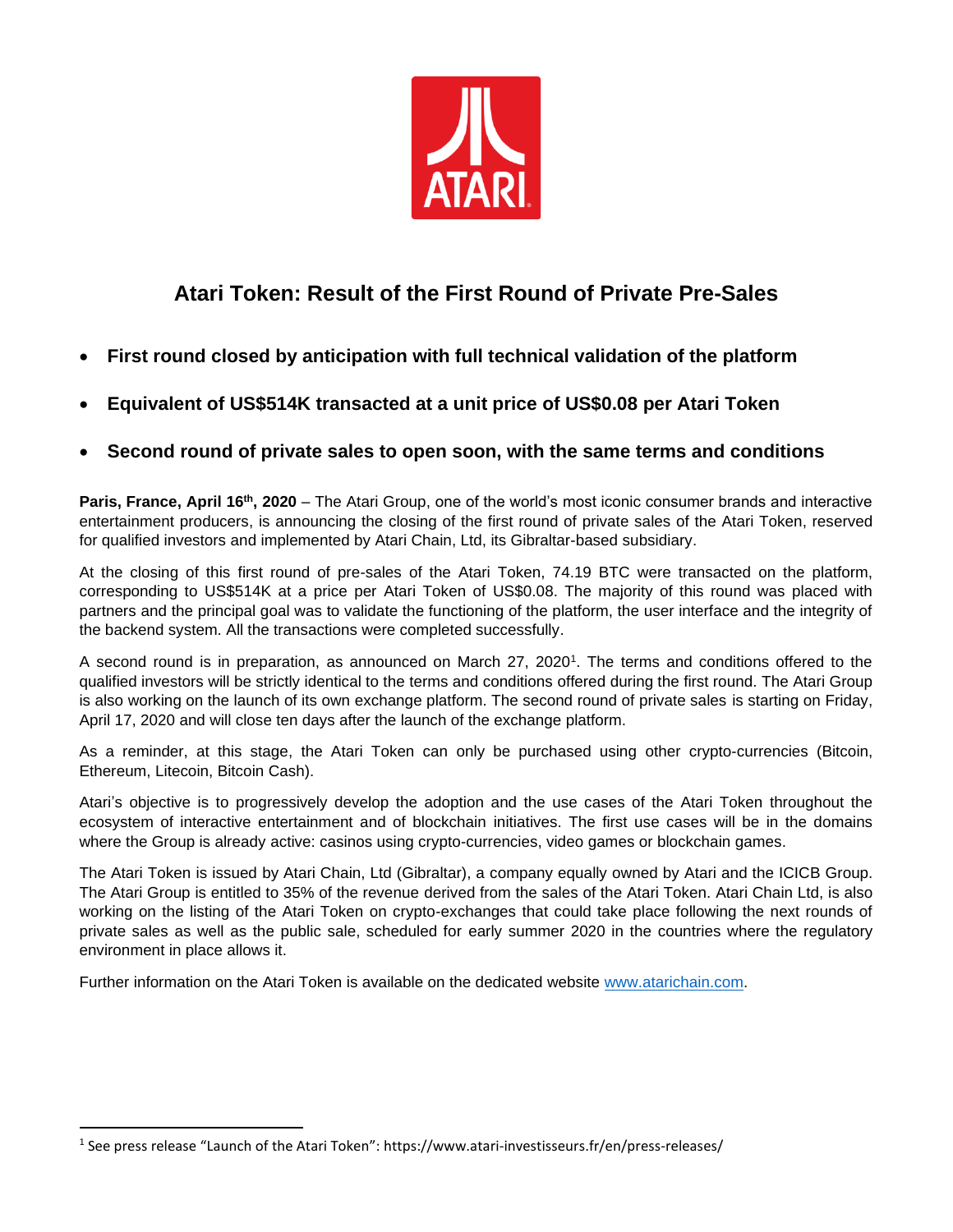

## **Atari Token: Result of the First Round of Private Pre-Sales**

- **First round closed by anticipation with full technical validation of the platform**
- **Equivalent of US\$514K transacted at a unit price of US\$0.08 per Atari Token**
- **Second round of private sales to open soon, with the same terms and conditions**

**Paris, France, April 16th , 2020** – The Atari Group, one of the world's most iconic consumer brands and interactive entertainment producers, is announcing the closing of the first round of private sales of the Atari Token, reserved for qualified investors and implemented by Atari Chain, Ltd, its Gibraltar-based subsidiary.

At the closing of this first round of pre-sales of the Atari Token, 74.19 BTC were transacted on the platform, corresponding to US\$514K at a price per Atari Token of US\$0.08. The majority of this round was placed with partners and the principal goal was to validate the functioning of the platform, the user interface and the integrity of the backend system. All the transactions were completed successfully.

A second round is in preparation, as announced on March 27, 2020<sup>1</sup>. The terms and conditions offered to the qualified investors will be strictly identical to the terms and conditions offered during the first round. The Atari Group is also working on the launch of its own exchange platform. The second round of private sales is starting on Friday, April 17, 2020 and will close ten days after the launch of the exchange platform.

As a reminder, at this stage, the Atari Token can only be purchased using other crypto-currencies (Bitcoin, Ethereum, Litecoin, Bitcoin Cash).

Atari's objective is to progressively develop the adoption and the use cases of the Atari Token throughout the ecosystem of interactive entertainment and of blockchain initiatives. The first use cases will be in the domains where the Group is already active: casinos using crypto-currencies, video games or blockchain games.

The Atari Token is issued by Atari Chain, Ltd (Gibraltar), a company equally owned by Atari and the ICICB Group. The Atari Group is entitled to 35% of the revenue derived from the sales of the Atari Token. Atari Chain Ltd, is also working on the listing of the Atari Token on crypto-exchanges that could take place following the next rounds of private sales as well as the public sale, scheduled for early summer 2020 in the countries where the regulatory environment in place allows it.

Further information on the Atari Token is available on the dedicated website [www.atarichain.com.](http://www.atarichain.com/)

<sup>1</sup> See press release "Launch of the Atari Token": https://www.atari-investisseurs.fr/en/press-releases/